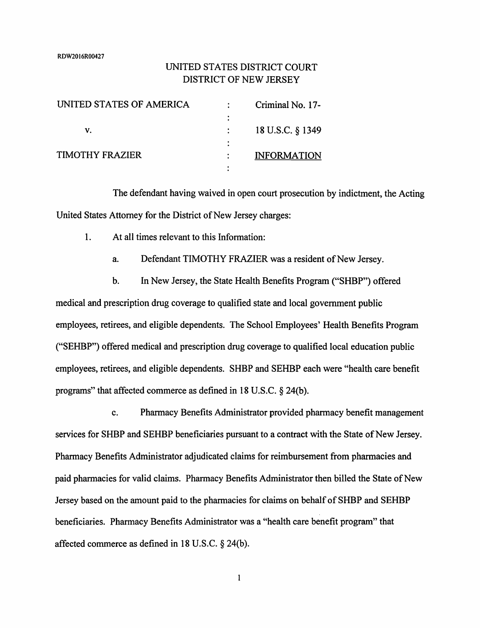RDW2016R00427

# UNITED STATES DISTRICT COURT DISTRICT OF NEW JERSEY

| UNITED STATES OF AMERICA | Criminal No. 17-   |
|--------------------------|--------------------|
|                          |                    |
| v.                       | 18 U.S.C. § 1349   |
|                          |                    |
| TIMOTHY FRAZIER          | <b>INFORMATION</b> |
|                          |                    |

The defendant having waived in open court prosecution by indictment, the Acting United States Attorney for the District of New Jersey charges:

1. At all times relevant to this Information:

a. Defendant TIMOTHY FRAZIER was a resident of New Jersey.

b. In New Jersey, the State Health Benefits Program ("SHBP") offered medical and prescription drug coverage to qualified state and local government public employees, retirees, and eligible dependents. The School Employees' Health Benefits Program ("SEHBP") offered medical and prescription drug coverage to qualified local education public employees, retirees, and eligible dependents. SHBP and SEHBP each were "health care benefit programs" that affected commerce as defined in 18 U.S.C. § 24(b).

c. Pharmacy Benefits Administrator provided pharmacy benefit management services for SHBP and SEHBP beneficiaries pursuant to a contract with the State of New Jersey. Pharmacy Benefits Administrator adjudicated claims for reimbursement from pharmacies and paid pharmacies for valid claims. Pharmacy Benefits Administrator then billed the State of New Jersey based on the amount paid to the pharmacies for claims on behalf of SHBP and SEHBP beneficiaries. Pharmacy Benefits Administrator was a "health care benefit program" that affected commerce as defined in 18 U.S.C. § 24(b).

 $\mathbf{1}$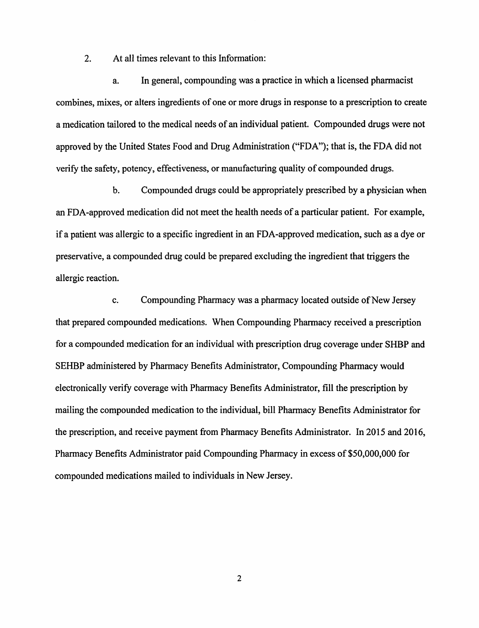2. At all times relevant to this Information:

a. In general, compounding was a practice in which a licensed pharmacist combines, mixes, or alters ingredients of one or more drugs in response to a prescription to create a medication tailored to the medical needs of an individual patient. Compounded drugs were not approved by the United States Food and Drug Administration ("FDA"); that is, the FDA did not verify the safety, potency, effectiveness, or manufacturing quality of compounded drugs.

b. Compounded drugs could be appropriately prescribed by a physician when an FDA-approved medication did not meet the health needs of a particular patient. For example, if a patient was allergic to a specific ingredient in an FDA-approved medication, such as a dye or preservative, a compounded drug could be prepared excluding the ingredient that triggers the allergic reaction.

c. Compounding Pharmacy was a pharmacy located outside of New Jersey that prepared compounded medications. When Compounding Pharmacy received a prescription for a compounded medication for an individual with prescription drug coverage under SHBP and SEHBP administered by Pharmacy Benefits Administrator, Compounding Pharmacy would electronically verify coverage with Pharmacy Benefits Administrator, fill the prescription by mailing the compounded medication to the individual, bill Pharmacy Benefits Administrator for the prescription, and receive payment from Pharmacy Benefits Administrator. In 2015 and 2016, Pharmacy Benefits Administrator paid Compounding Pharmacy in excess of \$50,000,000 for compounded medications mailed to individuals in New Jersey.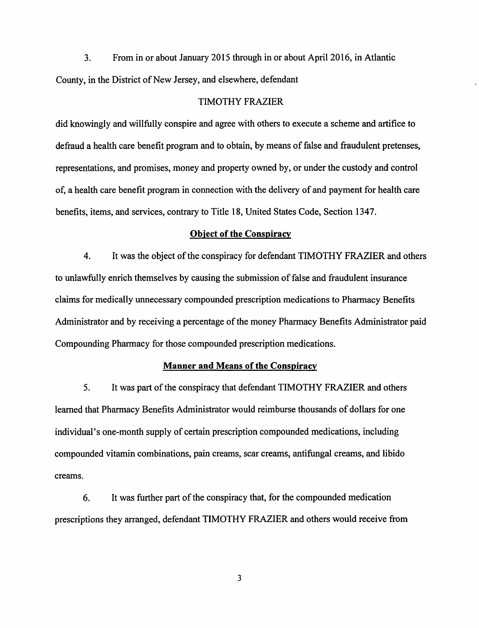3. From in or about January 2015 through in or about April 2016, in Atlantic County, in the District of New Jersey, and elsewhere, defendant

#### TIMOTHY FRAZIER

did knowingly and willfully conspire and agree with others to execute a scheme and artifice to defraud a health care benefit program and to obtain, by means of false and fraudulent pretenses, representations, and promises, money and property owned by, or under the custody and control of, a health care benefit program in connection with the delivery of and payment for health care benefits, items, and services, contrary to Title 18, United States Code, Section 1347.

#### **Object of the Conspiracy**

4. It was the object of the conspiracy for defendant TIMOTHY FRAZIER and others to unlawfully enrich themselves by causing the submission of false and fraudulent insurance claims for medically unnecessary compounded prescription medications to Pharmacy Benefits Administrator and by receiving a percentage of the money Pharmacy Benefits Administrator paid Compounding Pharmacy for those compounded prescription medications.

## **Manner and Means of the Conspiracy**

5. It was part of the conspiracy that defendant TIMOTHY FRAZIER and others learned that Pharmacy Benefits Administrator would reimburse thousands of dollars for one individual's one-month supply of certain prescription compounded medications, including compounded vitamin combinations, pain creams, scar creams, antifungal creams, and libido creams.

6. It was further part of the conspiracy that, for the compounded medication prescriptions they arranged, defendant TIMOTHY FRAZIER and others would receive from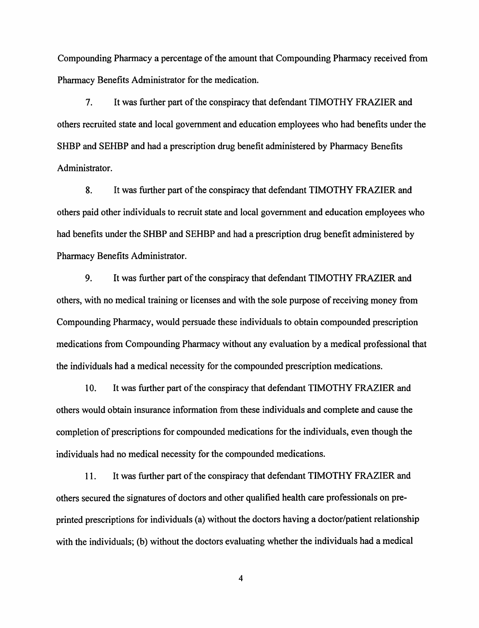Compounding Pharmacy a percentage of the amount that Compounding Pharmacy received from Pharmacy Benefits Administrator for the medication.

7. It was further part of the conspiracy that defendant TIMOTHY FRAZIER and others recruited state and local government and education employees who had benefits under the SHBP and SEHBP and had a prescription drug benefit administered by Pharmacy Benefits Administrator.

8. It was further part of the conspiracy that defendant TIMOTHY FRAZIER and others paid other individuals to recruit state and local government and education employees who had benefits under the SHBP and SEHBP and had a prescription drug benefit administered by Pharmacy Benefits Administrator.

9. It was further part of the conspiracy that defendant TIMOTHY FRAZIER and others, with no medical training or licenses and with the sole purpose of receiving money from Compounding Pharmacy, would persuade these individuals to obtain compounded prescription medications from Compounding Pharmacy without any evaluation by a medical professional that the individuals had a medical necessity for the compounded prescription medications.

10. It was further part of the conspiracy that defendant TIMOTHY **FRAZIER** and others would obtain insurance information from these individuals and complete and cause the completion of prescriptions for compounded medications for the individuals, even though the individuals had no medical necessity for the compounded medications.

11. It was further part of the conspiracy that defendant TIMOTHY FRAZIER and others secured the signatures of doctors and other qualified health care professionals on preprinted prescriptions for individuals (a) without the doctors having a doctor/patient relationship with the individuals; (b) without the doctors evaluating whether the individuals had a medical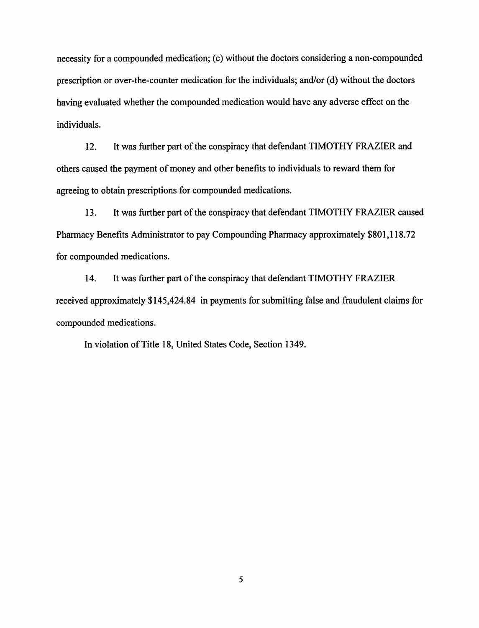necessity for a compounded medication; (c) without the doctors considering a non-compounded prescription or over-the-counter medication for the individuals; and/or (d) without the doctors having evaluated whether the compounded medication would have any adverse effect on the individuals.

12. It was further part of the conspiracy that defendant TIMOTHY FRAZIER and others caused the payment of money and other benefits to individuals to reward them for agreeing to obtain prescriptions for compounded medications.

13. It was further part of the conspiracy that defendant TIMOTHY FRAZIER caused Pharmacy Benefits Administrator to pay Compounding Pharmacy approximately \$801,118.72 for compounded medications.

14. It was further part of the conspiracy that defendant TIMOTHY FRAZIER received approximately \$145,424.84 in payments for submitting false and fraudulent claims for compounded medications.

In violation of Title 18, United States Code, Section 1349.